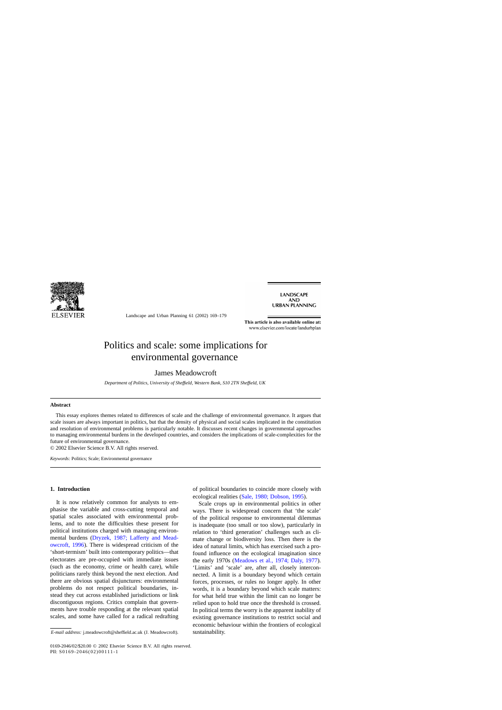

Landscape and Urban Planning 61 (2002) 169–179

**LANDSCAPE AND URBAN PLANNING** 

This article is also available online at: www.elsevier.com/locate/landurbplan

# Politics and scale: some implications for environmental governance

## James Meadowcroft

*Department of Politics, University of Sheffield, Western Bank, S10 2TN Sheffield, UK*

### **Abstract**

This essay explores themes related to differences of scale and the challenge of environmental governance. It argues that scale issues are always important in politics, but that the density of physical and social scales implicated in the constitution and resolution of environmental problems is particularly notable. It discusses recent changes in governmental approaches to managing environmental burdens in the developed countries, and considers the implications of scale-complexities for the future of environmental governance.

© 2002 Elsevier Science B.V. All rights reserved.

*Keywords:* Politics; Scale; Environmental governance

## **1. Introduction**

It is now relatively common for analysts to emphasise the variable and cross-cutting temporal and spatial scales associated with environmental problems, and to note the difficulties these present for political institutions charged with managing environmental burdens ([Dryzek, 1987; Lafferty and Mead](#page-10-0)[owcroft, 1996\).](#page-10-0) There is widespread criticism of the 'short-termism' built into contemporary politics—that electorates are pre-occupied with immediate issues (such as the economy, crime or health care), while politicians rarely think beyond the next election. And there are obvious spatial disjunctures: environmental problems do not respect political boundaries, instead they cut across established jurisdictions or link discontiguous regions. Critics complain that governments have trouble responding at the relevant spatial scales, and some have called for a radical redrafting

0169-2046/02/\$20.00 © 2002 Elsevier Science B.V. All rights reserved. PII: S0169-2046(02)00111-1

of political boundaries to coincide more closely with ecological realities [\(Sale, 1980; Dobson, 1995\).](#page-10-0)

Scale crops up in environmental politics in other ways. There is widespread concern that 'the scale' of the political response to environmental dilemmas is inadequate (too small or too slow), particularly in relation to 'third generation' challenges such as climate change or biodiversity loss. Then there is the idea of natural limits, which has exercised such a profound influence on the ecological imagination since the early 1970s [\(Meadows et al., 1974; Daly, 1977\)](#page-10-0). 'Limits' and 'scale' are, after all, closely interconnected. A limit is a boundary beyond which certain forces, processes, or rules no longer apply. In other words, it is a boundary beyond which scale matters: for what held true within the limit can no longer be relied upon to hold true once the threshold is crossed. In political terms the worry is the apparent inability of existing governance institutions to restrict social and economic behaviour within the frontiers of ecological sustainability.

*E-mail address:* j.meadowcroft@sheffield.ac.uk (J. Meadowcroft).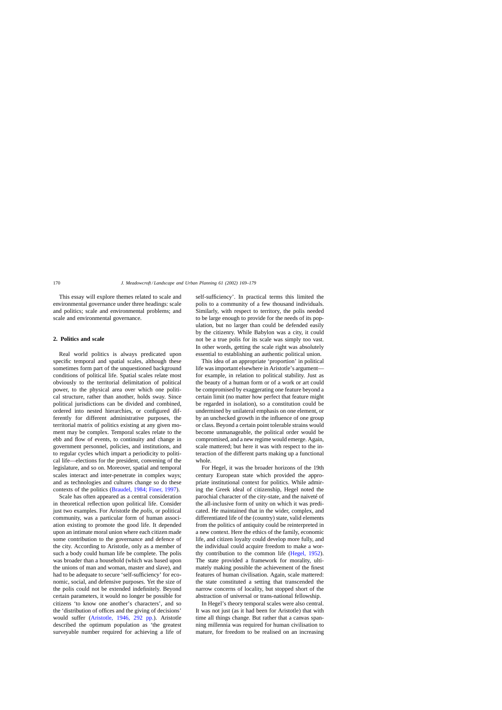<span id="page-1-0"></span>This essay will explore themes related to scale and environmental governance under three headings: scale and politics; scale and environmental problems; and scale and environmental governance.

#### **2. Politics and scale**

Real world politics is always predicated upon specific temporal and spatial scales, although these sometimes form part of the unquestioned background conditions of political life. Spatial scales relate most obviously to the territorial delimitation of political power, to the physical area over which one political structure, rather than another, holds sway. Since political jurisdictions can be divided and combined, ordered into nested hierarchies, or configured differently for different administrative purposes, the territorial matrix of politics existing at any given moment may be complex. Temporal scales relate to the ebb and flow of events, to continuity and change in government personnel, policies, and institutions, and to regular cycles which impart a periodicity to political life—elections for the president, convening of the legislature, and so on. Moreover, spatial and temporal scales interact and inter-penetrate in complex ways; and as technologies and cultures change so do these contexts of the politics [\(Braudel, 1984; Finer, 1997\).](#page-10-0)

Scale has often appeared as a central consideration in theoretical reflection upon political life. Consider just two examples. For Aristotle the *polis*, or political community, was a particular form of human association existing to promote the good life. It depended upon an intimate moral union where each citizen made some contribution to the governance and defence of the city. According to Aristotle, only as a member of such a body could human life be complete. The polis was broader than a household (which was based upon the unions of man and woman, master and slave), and had to be adequate to secure 'self-sufficiency' for economic, social, and defensive purposes. Yet the size of the polis could not be extended indefinitely. Beyond certain parameters, it would no longer be possible for citizens 'to know one another's characters', and so the 'distribution of offices and the giving of decisions' would suffer [\(Aristotle, 1946, 292 pp](#page-10-0).). Aristotle described the optimum population as 'the greatest surveyable number required for achieving a life of self-sufficiency'. In practical terms this limited the polis to a community of a few thousand individuals. Similarly, with respect to territory, the polis needed to be large enough to provide for the needs of its population, but no larger than could be defended easily by the citizenry. While Babylon was a city, it could not be a true polis for its scale was simply too vast. In other words, getting the scale right was absolutely essential to establishing an authentic political union.

This idea of an appropriate 'proportion' in political life was important elsewhere in Aristotle's argument for example, in relation to political stability. Just as the beauty of a human form or of a work or art could be compromised by exaggerating one feature beyond a certain limit (no matter how perfect that feature might be regarded in isolation), so a constitution could be undermined by unilateral emphasis on one element, or by an unchecked growth in the influence of one group or class. Beyond a certain point tolerable strains would become unmanageable, the political order would be compromised, and a new regime would emerge. Again, scale mattered; but here it was with respect to the interaction of the different parts making up a functional whole.

For Hegel, it was the broader horizons of the 19th century European state which provided the appropriate institutional context for politics. While admiring the Greek ideal of citizenship, Hegel noted the parochial character of the city-state, and the naiveté of the all-inclusive form of unity on which it was predicated. He maintained that in the wider, complex, and differentiated life of the (country) state, valid elements from the politics of antiquity could be reinterpreted in a new context. Here the ethics of the family, economic life, and citizen loyalty could develop more fully, and the individual could acquire freedom to make a worthy contribution to the common life [\(Hegel, 1952\)](#page-10-0). The state provided a framework for morality, ultimately making possible the achievement of the finest features of human civilisation. Again, scale mattered: the state constituted a setting that transcended the narrow concerns of locality, but stopped short of the abstraction of universal or trans-national fellowship.

In Hegel's theory temporal scales were also central. It was not just (as it had been for Aristotle) that with time all things change. But rather that a canvas spanning millennia was required for human civilisation to mature, for freedom to be realised on an increasing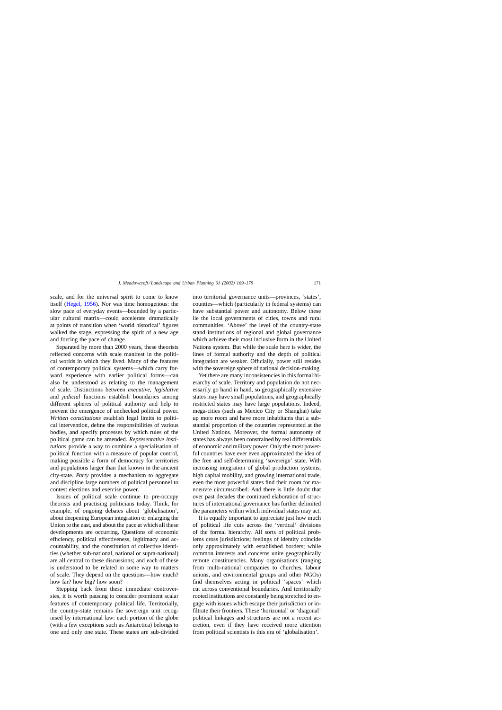scale, and for the universal spirit to come to know itself [\(Hegel, 1956\).](#page-10-0) Nor was time homogenous: the slow pace of everyday events—bounded by a particular cultural matrix—could accelerate dramatically at points of transition when 'world historical' figures walked the stage, expressing the spirit of a new age and forcing the pace of change.

Separated by more than 2000 years, these theorists reflected concerns with scale manifest in the political worlds in which they lived. Many of the features of contemporary political systems—which carry forward experience with earlier political forms—can also be understood as relating to the management of scale. Distinctions between *executive*, *legislative* and *judicial* functions establish boundaries among different spheres of political authority and help to prevent the emergence of unchecked political power. *Written constitutions* establish legal limits to political intervention, define the responsibilities of various bodies, and specify processes by which rules of the political game can be amended. *Representative institutions* provide a way to combine a specialisation of political function with a measure of popular control, making possible a form of democracy for territories and populations larger than that known in the ancient city-state. *Party* provides a mechanism to aggregate and discipline large numbers of political personnel to contest elections and exercise power.

Issues of political scale continue to pre-occupy theorists and practising politicians today. Think, for example, of ongoing debates about 'globalisation', about deepening European integration or enlarging the Union to the east, and about the pace at which all these developments are occurring. Questions of economic efficiency, political effectiveness, legitimacy and accountability, and the constitution of collective identities (whether sub-national, national or supra-national) are all central to these discussions; and each of these is understood to be related in some way to matters of scale. They depend on the questions—how much? how far? how big? how soon?

Stepping back from these immediate controversies, it is worth pausing to consider prominent scalar features of contemporary political life. Territorially, the country-state remains the sovereign unit recognised by international law: each portion of the globe (with a few exceptions such as Antarctica) belongs to one and only one state. These states are sub-divided into territorial governance units—provinces, 'states', counties—which (particularly in federal systems) can have substantial power and autonomy. Below these lie the local governments of cities, towns and rural communities. 'Above' the level of the country-state stand institutions of regional and global governance which achieve their most inclusive form in the United Nations system. But while the scale here is wider, the lines of formal authority and the depth of political integration are weaker. Officially, power still resides with the sovereign sphere of national decision-making.

Yet there are many inconsistencies in this formal hierarchy of scale. Territory and population do not necessarily go hand in hand, so geographically extensive states may have small populations, and geographically restricted states may have large populations. Indeed, mega-cities (such as Mexico City or Shanghai) take up more room and have more inhabitants that a substantial proportion of the countries represented at the United Nations. Moreover, the formal autonomy of states has always been constrained by real differentials of economic and military power. Only the most powerful countries have ever even approximated the idea of the free and self-determining 'sovereign' state. With increasing integration of global production systems, high capital mobility, and growing international trade, even the most powerful states find their room for manoeuvre circumscribed. And there is little doubt that over past decades the continued elaboration of structures of international governance has further delimited the parameters within which individual states may act.

It is equally important to appreciate just how much of political life cuts across the 'vertical' divisions of the formal hierarchy. All sorts of political problems cross jurisdictions; feelings of identity coincide only approximately with established borders; while common interests and concerns unite geographically remote constituencies. Many organisations (ranging from multi-national companies to churches, labour unions, and environmental groups and other NGOs) find themselves acting in political 'spaces' which cut across conventional boundaries. And territorially rooted institutions are constantly being stretched to engage with issues which escape their jurisdiction or infiltrate their frontiers. These 'horizontal' or 'diagonal' political linkages and structures are not a recent accretion, even if they have received more attention from political scientists is this era of 'globalisation'.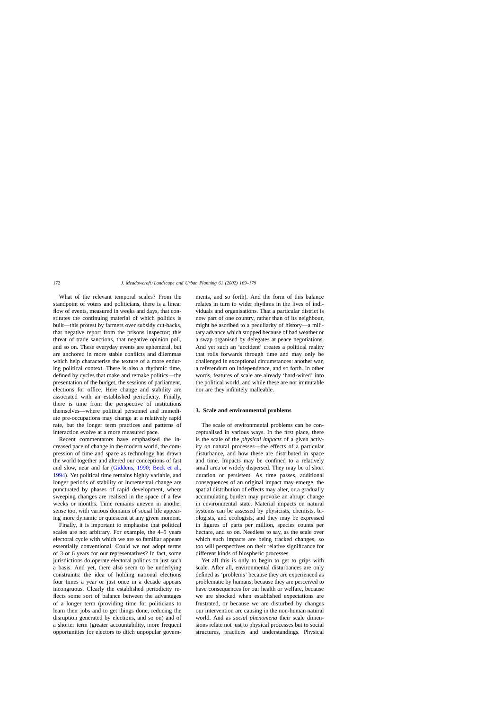<span id="page-3-0"></span>What of the relevant temporal scales? From the standpoint of voters and politicians, there is a linear flow of events, measured in weeks and days, that constitutes the continuing material of which politics is built—this protest by farmers over subsidy cut-backs, that negative report from the prisons inspector; this threat of trade sanctions, that negative opinion poll, and so on. These everyday events are ephemeral, but are anchored in more stable conflicts and dilemmas which help characterise the texture of a more enduring political context. There is also a rhythmic time, defined by cycles that make and remake politics—the presentation of the budget, the sessions of parliament, elections for office. Here change and stability are associated with an established periodicity. Finally, there is time from the perspective of institutions themselves—where political personnel and immediate pre-occupations may change at a relatively rapid rate, but the longer term practices and patterns of interaction evolve at a more measured pace.

Recent commentators have emphasised the increased pace of change in the modern world, the compression of time and space as technology has drawn the world together and altered our conceptions of fast and slow, near and far [\(Giddens, 1990; Beck et al.,](#page-10-0) [1994\).](#page-10-0) Yet political time remains highly variable, and longer periods of stability or incremental change are punctuated by phases of rapid development, where sweeping changes are realised in the space of a few weeks or months. Time remains uneven in another sense too, with various domains of social life appearing more dynamic or quiescent at any given moment.

Finally, it is important to emphasise that political scales are not arbitrary. For example, the 4–5 years electoral cycle with which we are so familiar appears essentially conventional. Could we not adopt terms of 3 or 6 years for our representatives? In fact, some jurisdictions do operate electoral politics on just such a basis. And yet, there also seem to be underlying constraints: the idea of holding national elections four times a year or just once in a decade appears incongruous. Clearly the established periodicity reflects some sort of balance between the advantages of a longer term (providing time for politicians to learn their jobs and to get things done, reducing the disruption generated by elections, and so on) and of a shorter term (greater accountability, more frequent opportunities for electors to ditch unpopular governments, and so forth). And the form of this balance relates in turn to wider rhythms in the lives of individuals and organisations. That a particular district is now part of one country, rather than of its neighbour, might be ascribed to a peculiarity of history—a military advance which stopped because of bad weather or a swap organised by delegates at peace negotiations. And yet such an 'accident' creates a political reality that rolls forwards through time and may only be challenged in exceptional circumstances: another war, a referendum on independence, and so forth. In other words, features of scale are already 'hard-wired' into the political world, and while these are not immutable nor are they infinitely malleable.

#### **3. Scale and environmental problems**

The scale of environmental problems can be conceptualised in various ways. In the first place, there is the scale of the *physical impacts* of a given activity on natural processes—the effects of a particular disturbance, and how these are distributed in space and time. Impacts may be confined to a relatively small area or widely dispersed. They may be of short duration or persistent. As time passes, additional consequences of an original impact may emerge, the spatial distribution of effects may alter, or a gradually accumulating burden may provoke an abrupt change in environmental state. Material impacts on natural systems can be assessed by physicists, chemists, biologists, and ecologists, and they may be expressed in figures of parts per million, species counts per hectare, and so on. Needless to say, as the scale over which such impacts are being tracked changes, so too will perspectives on their relative significance for different kinds of biospheric processes.

Yet all this is only to begin to get to grips with scale. After all, environmental disturbances are only defined as 'problems' because they are experienced as problematic by humans, because they are perceived to have consequences for our health or welfare, because we are shocked when established expectations are frustrated, or because we are disturbed by changes our intervention are causing in the non-human natural world. And as *social phenomena* their scale dimensions relate not just to physical processes but to social structures, practices and understandings. Physical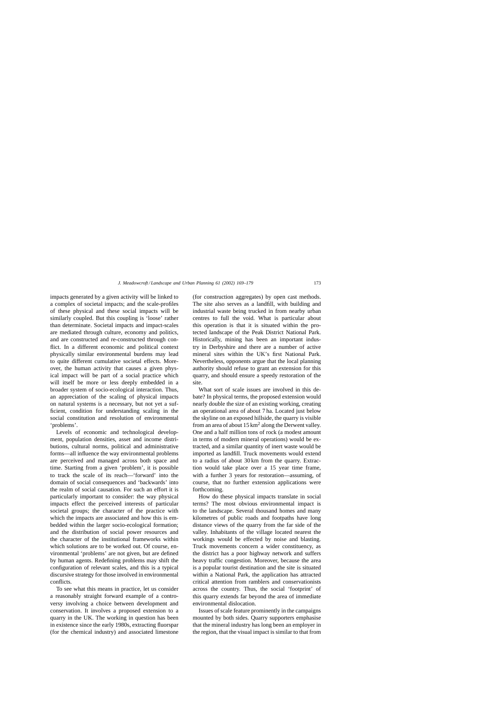*J. Meadowcroft / Landscape and Urban Planning 61 (2002) 169–179* 173

impacts generated by a given activity will be linked to a complex of societal impacts; and the scale-profiles of these physical and these social impacts will be similarly coupled. But this coupling is 'loose' rather than determinate. Societal impacts and impact-scales are mediated through culture, economy and politics, and are constructed and re-constructed through conflict. In a different economic and political context physically similar environmental burdens may lead to quite different cumulative societal effects. Moreover, the human activity that causes a given physical impact will be part of a social practice which will itself be more or less deeply embedded in a broader system of socio-ecological interaction. Thus, an appreciation of the scaling of physical impacts on natural systems is a necessary, but not yet a sufficient, condition for understanding scaling in the social constitution and resolution of environmental 'problems'.

Levels of economic and technological development, population densities, asset and income distributions, cultural norms, political and administrative forms—all influence the way environmental problems are perceived and managed across both space and time. Starting from a given 'problem', it is possible to track the scale of its reach—'forward' into the domain of social consequences and 'backwards' into the realm of social causation. For such an effort it is particularly important to consider: the way physical impacts effect the perceived interests of particular societal groups; the character of the practice with which the impacts are associated and how this is embedded within the larger socio-ecological formation; and the distribution of social power resources and the character of the institutional frameworks within which solutions are to be worked out. Of course, environmental 'problems' are not given, but are defined by human agents. Redefining problems may shift the configuration of relevant scales, and this is a typical discursive strategy for those involved in environmental conflicts.

To see what this means in practice, let us consider a reasonably straight forward example of a controversy involving a choice between development and conservation. It involves a proposed extension to a quarry in the UK. The working in question has been in existence since the early 1980s, extracting fluorspar (for the chemical industry) and associated limestone

(for construction aggregates) by open cast methods. The site also serves as a landfill, with building and industrial waste being trucked in from nearby urban centres to full the void. What is particular about this operation is that it is situated within the protected landscape of the Peak District National Park. Historically, mining has been an important industry in Derbyshire and there are a number of active mineral sites within the UK's first National Park. Nevertheless, opponents argue that the local planning authority should refuse to grant an extension for this quarry, and should ensure a speedy restoration of the site.

What sort of scale issues are involved in this debate? In physical terms, the proposed extension would nearly double the size of an existing working, creating an operational area of about 7 ha. Located just below the skyline on an exposed hillside, the quarry is visible from an area of about  $15 \text{ km}^2$  along the Derwent valley. One and a half million tons of rock (a modest amount in terms of modern mineral operations) would be extracted, and a similar quantity of inert waste would be imported as landfill. Truck movements would extend to a radius of about 30 km from the quarry. Extraction would take place over a 15 year time frame, with a further 3 years for restoration—assuming, of course, that no further extension applications were forthcoming.

How do these physical impacts translate in social terms? The most obvious environmental impact is to the landscape. Several thousand homes and many kilometres of public roads and footpaths have long distance views of the quarry from the far side of the valley. Inhabitants of the village located nearest the workings would be effected by noise and blasting. Truck movements concern a wider constituency, as the district has a poor highway network and suffers heavy traffic congestion. Moreover, because the area is a popular tourist destination and the site is situated within a National Park, the application has attracted critical attention from ramblers and conservationists across the country. Thus, the social 'footprint' of this quarry extends far beyond the area of immediate environmental dislocation.

Issues of scale feature prominently in the campaigns mounted by both sides. Quarry supporters emphasise that the mineral industry has long been an employer in the region, that the visual impact is similar to that from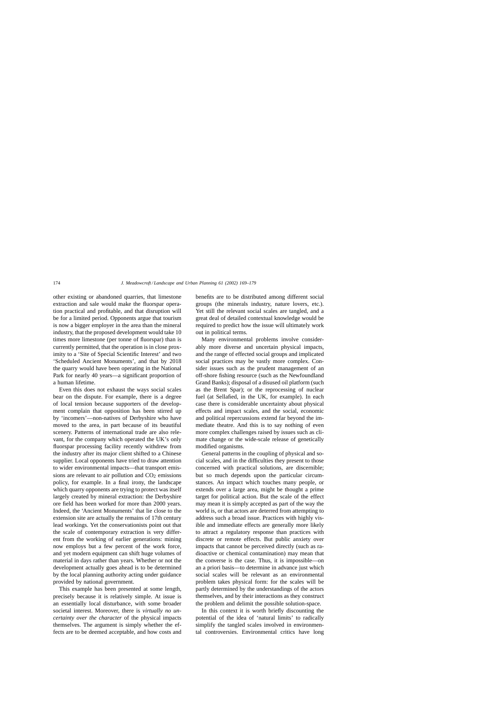other existing or abandoned quarries, that limestone extraction and sale would make the fluorspar operation practical and profitable, and that disruption will be for a limited period. Opponents argue that tourism is now a bigger employer in the area than the mineral industry, that the proposed development would take 10 times more limestone (per tonne of fluorspar) than is currently permitted, that the operation is in close proximity to a 'Site of Special Scientific Interest' and two 'Scheduled Ancient Monuments', and that by 2018 the quarry would have been operating in the National Park for nearly 40 years—a significant proportion of a human lifetime.

Even this does not exhaust the ways social scales bear on the dispute. For example, there is a degree of local tension because supporters of the development complain that opposition has been stirred up by 'incomers'—non-natives of Derbyshire who have moved to the area, in part because of its beautiful scenery. Patterns of international trade are also relevant, for the company which operated the UK's only fluorspar processing facility recently withdrew from the industry after its major client shifted to a Chinese supplier. Local opponents have tried to draw attention to wider environmental impacts—that transport emissions are relevant to air pollution and  $CO<sub>2</sub>$  emissions policy, for example. In a final irony, the landscape which quarry opponents are trying to protect was itself largely created by mineral extraction: the Derbyshire ore field has been worked for more than 2000 years. Indeed, the 'Ancient Monuments' that lie close to the extension site are actually the remains of 17th century lead workings. Yet the conservationists point out that the scale of contemporary extraction is very different from the working of earlier generations: mining now employs but a few percent of the work force, and yet modern equipment can shift huge volumes of material in days rather than years. Whether or not the development actually goes ahead is to be determined by the local planning authority acting under guidance provided by national government.

This example has been presented at some length, precisely because it is relatively simple. At issue is an essentially local disturbance, with some broader societal interest. Moreover, there is *virtually no uncertainty over the character* of the physical impacts themselves. The argument is simply whether the effects are to be deemed acceptable, and how costs and benefits are to be distributed among different social groups (the minerals industry, nature lovers, etc.). Yet still the relevant social scales are tangled, and a great deal of detailed contextual knowledge would be required to predict how the issue will ultimately work out in political terms.

Many environmental problems involve considerably more diverse and uncertain physical impacts, and the range of effected social groups and implicated social practices may be vastly more complex. Consider issues such as the prudent management of an off-shore fishing resource (such as the Newfoundland Grand Banks); disposal of a disused oil platform (such as the Brent Spar); or the reprocessing of nuclear fuel (at Sellafied, in the UK, for example). In each case there is considerable uncertainty about physical effects and impact scales, and the social, economic and political repercussions extend far beyond the immediate theatre. And this is to say nothing of even more complex challenges raised by issues such as climate change or the wide-scale release of genetically modified organisms.

General patterns in the coupling of physical and social scales, and in the difficulties they present to those concerned with practical solutions, are discernible; but so much depends upon the particular circumstances. An impact which touches many people, or extends over a large area, might be thought a prime target for political action. But the scale of the effect may mean it is simply accepted as part of the way the world is, or that actors are deterred from attempting to address such a broad issue. Practices with highly visible and immediate effects are generally more likely to attract a regulatory response than practices with discrete or remote effects. But public anxiety over impacts that cannot be perceived directly (such as radioactive or chemical contamination) may mean that the converse is the case. Thus, it is impossible—on an a priori basis—to determine in advance just which social scales will be relevant as an environmental problem takes physical form: for the scales will be partly determined by the understandings of the actors themselves, and by their interactions as they construct the problem and delimit the possible solution-space.

In this context it is worth briefly discounting the potential of the idea of 'natural limits' to radically simplify the tangled scales involved in environmental controversies. Environmental critics have long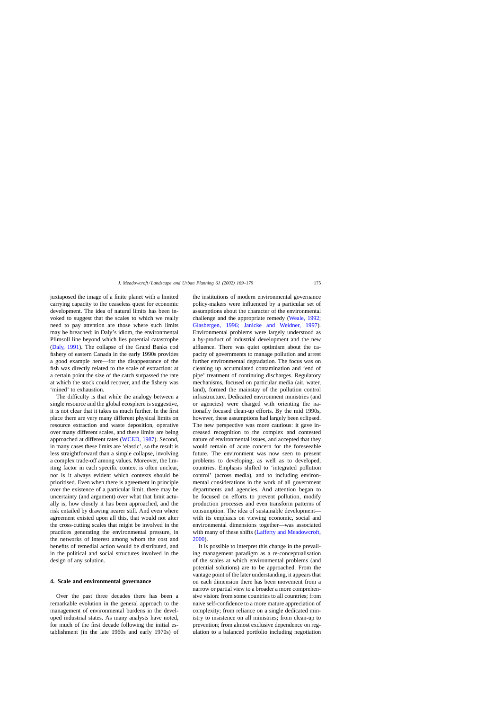<span id="page-6-0"></span>juxtaposed the image of a finite planet with a limited carrying capacity to the ceaseless quest for economic development. The idea of natural limits has been invoked to suggest that the scales to which we really need to pay attention are those where such limits may be breached: in Daly's idiom, the environmental Plimsoll line beyond which lies potential catastrophe ([Daly, 1991\).](#page-10-0) The collapse of the Grand Banks cod fishery of eastern Canada in the early 1990s provides a good example here—for the disappearance of the fish was directly related to the scale of extraction: at a certain point the size of the catch surpassed the rate at which the stock could recover, and the fishery was 'mined' to exhaustion.

The difficulty is that while the analogy between a single resource and the global ecosphere is suggestive, it is not clear that it takes us much further. In the first place there are very many different physical limits on resource extraction and waste deposition, operative over many different scales, and these limits are being approached at different rates ([WCED, 1987\).](#page-10-0) Second, in many cases these limits are 'elastic', so the result is less straightforward than a simple collapse, involving a complex trade-off among values. Moreover, the limiting factor in each specific context is often unclear, nor is it always evident which contexts should be prioritised. Even when there is agreement in principle over the existence of a particular limit, there may be uncertainty (and argument) over what that limit actually is, how closely it has been approached, and the risk entailed by drawing nearer still. And even where agreement existed upon all this, that would not alter the cross-cutting scales that might be involved in the practices generating the environmental pressure, in the networks of interest among whom the cost and benefits of remedial action would be distributed, and in the political and social structures involved in the design of any solution.

#### **4. Scale and environmental governance**

Over the past three decades there has been a remarkable evolution in the general approach to the management of environmental burdens in the developed industrial states. As many analysts have noted, for much of the first decade following the initial establishment (in the late 1960s and early 1970s) of the institutions of modern environmental governance policy-makers were influenced by a particular set of assumptions about the character of the environmental challenge and the appropriate remedy [\(Weale, 1992;](#page-10-0) [Glasbergen, 1996; Janicke and Weidner, 1](#page-10-0)997). Environmental problems were largely understood as a by-product of industrial development and the new affluence. There was quiet optimism about the capacity of governments to manage pollution and arrest further environmental degradation. The focus was on cleaning up accumulated contamination and 'end of pipe' treatment of continuing discharges. Regulatory mechanisms, focused on particular media (air, water, land), formed the mainstay of the pollution control infrastructure. Dedicated environment ministries (and or agencies) were charged with orienting the nationally focused clean-up efforts. By the mid 1990s, however, these assumptions had largely been eclipsed. The new perspective was more cautious: it gave increased recognition to the complex and contested nature of environmental issues, and accepted that they would remain of acute concern for the foreseeable future. The environment was now seen to present problems to developing, as well as to developed, countries. Emphasis shifted to 'integrated pollution control' (across media), and to including environmental considerations in the work of all government departments and agencies. And attention began to be focused on efforts to prevent pollution, modify production processes and even transform patterns of consumption. The idea of sustainable development with its emphasis on viewing economic, social and environmental dimensions together—was associated with many of these shifts [\(Lafferty and Meadowcroft,](#page-10-0) [2000\).](#page-10-0)

It is possible to interpret this change in the prevailing management paradigm as a re-conceptualisation of the scales at which environmental problems (and potential solutions) are to be approached. From the vantage point of the later understanding, it appears that on each dimension there has been movement from a narrow or partial view to a broader a more comprehensive vision: from some countries to all countries; from naive self-confidence to a more mature appreciation of complexity; from reliance on a single dedicated ministry to insistence on all ministries; from clean-up to prevention; from almost exclusive dependence on regulation to a balanced portfolio including negotiation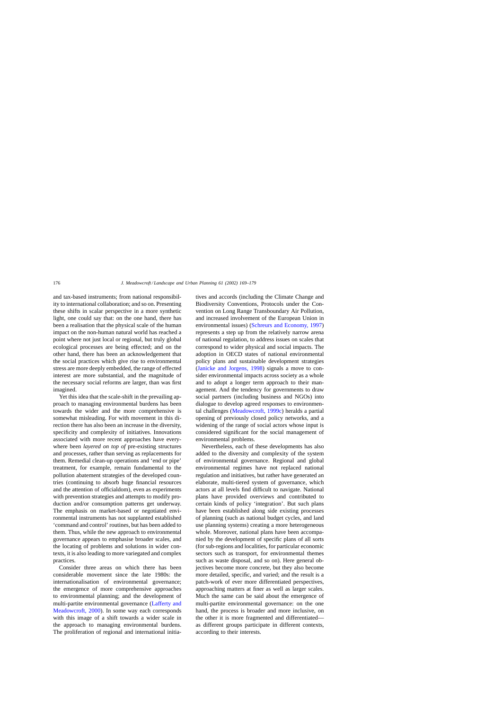and tax-based instruments; from national responsibility to international collaboration; and so on. Presenting these shifts in scalar perspective in a more synthetic light, one could say that: on the one hand, there has been a realisation that the physical scale of the human impact on the non-human natural world has reached a point where not just local or regional, but truly global ecological processes are being effected; and on the other hand, there has been an acknowledgement that the social practices which give rise to environmental stress are more deeply embedded, the range of effected interest are more substantial, and the magnitude of the necessary social reforms are larger, than was first imagined.

Yet this idea that the scale-shift in the prevailing approach to managing environmental burdens has been towards the wider and the more comprehensive is somewhat misleading. For with movement in this direction there has also been an increase in the diversity, specificity and complexity of initiatives. Innovations associated with more recent approaches have everywhere been *layered on top of* pre-existing structures and processes, rather than serving as replacements for them. Remedial clean-up operations and 'end or pipe' treatment, for example, remain fundamental to the pollution abatement strategies of the developed countries (continuing to absorb huge financial resources and the attention of officialdom), even as experiments with prevention strategies and attempts to modify production and/or consumption patterns get underway. The emphasis on market-based or negotiated environmental instruments has not supplanted established 'command and control' routines, but has been added to them. Thus, while the new approach to environmental governance appears to emphasise broader scales, and the locating of problems and solutions in wider contexts, it is also leading to more variegated and complex practices.

Consider three areas on which there has been considerable movement since the late 1980s: the internationalisation of environmental governance; the emergence of more comprehensive approaches to environmental planning; and the development of multi-partite environmental governance ([Lafferty and](#page-10-0) [Meadowcroft, 2000\).](#page-10-0) In some way each corresponds with this image of a shift towards a wider scale in the approach to managing environmental burdens. The proliferation of regional and international initiatives and accords (including the Climate Change and Biodiversity Conventions, Protocols under the Convention on Long Range Transboundary Air Pollution, and increased involvement of the European Union in environmental issues) ([Schreurs and Economy, 1997\)](#page-10-0) represents a step up from the relatively narrow arena of national regulation, to address issues on scales that correspond to wider physical and social impacts. The adoption in OECD states of national environmental policy plans and sustainable development strategies ([Janicke and Jorgens, 1998\)](#page-10-0) signals a move to consider environmental impacts across society as a whole and to adopt a longer term approach to their management. And the tendency for governments to draw social partners (including business and NGOs) into dialogue to develop agreed responses to environmental challenges ([Meadowcroft, 1999c\)](#page-10-0) heralds a partial opening of previously closed policy networks, and a widening of the range of social actors whose input is considered significant for the social management of environmental problems.

Nevertheless, each of these developments has also added to the diversity and complexity of the system of environmental governance. Regional and global environmental regimes have not replaced national regulation and initiatives, but rather have generated an elaborate, multi-tiered system of governance, which actors at all levels find difficult to navigate. National plans have provided overviews and contributed to certain kinds of policy 'integration'. But such plans have been established along side existing processes of planning (such as national budget cycles, and land use planning systems) creating a more heterogeneous whole. Moreover, national plans have been accompanied by the development of specific plans of all sorts (for sub-regions and localities, for particular economic sectors such as transport, for environmental themes such as waste disposal, and so on). Here general objectives become more concrete, but they also become more detailed, specific, and varied; and the result is a patch-work of ever more differentiated perspectives, approaching matters at finer as well as larger scales. Much the same can be said about the emergence of multi-partite environmental governance: on the one hand, the process is broader and more inclusive, on the other it is more fragmented and differentiated as different groups participate in different contexts, according to their interests.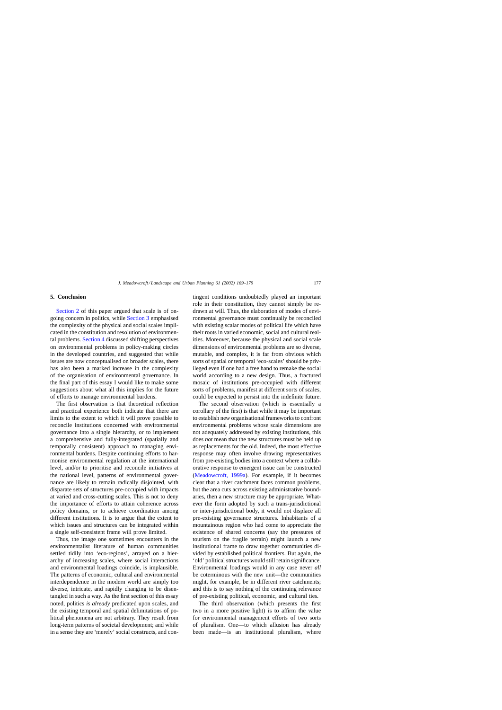#### **5. Conclusion**

[Section 2](#page-1-0) of this paper argued that scale is of ongoing concern in politics, while [Section 3](#page-3-0) emphasised the complexity of the physical and social scales implicated in the constitution and resolution of environmental problems. [Section 4](#page-6-0) discussed shifting perspectives on environmental problems in policy-making circles in the developed countries, and suggested that while issues are now conceptualised on broader scales, there has also been a marked increase in the complexity of the organisation of environmental governance. In the final part of this essay I would like to make some suggestions about what all this implies for the future of efforts to manage environmental burdens.

The first observation is that theoretical reflection and practical experience both indicate that there are limits to the extent to which it will prove possible to reconcile institutions concerned with environmental governance into a single hierarchy, or to implement a comprehensive and fully-integrated (spatially and temporally consistent) approach to managing environmental burdens. Despite continuing efforts to harmonise environmental regulation at the international level, and/or to prioritise and reconcile initiatives at the national level, patterns of environmental governance are likely to remain radically disjointed, with disparate sets of structures pre-occupied with impacts at varied and cross-cutting scales. This is not to deny the importance of efforts to attain coherence across policy domains, or to achieve coordination among different institutions. It is to argue that the extent to which issues and structures can be integrated within a single self-consistent frame will prove limited.

Thus, the image one sometimes encounters in the environmentalist literature of human communities settled tidily into 'eco-regions', arrayed on a hierarchy of increasing scales, where social interactions and environmental loadings coincide, is implausible. The patterns of economic, cultural and environmental interdependence in the modern world are simply too diverse, intricate, and rapidly changing to be disentangled in such a way. As the first section of this essay noted, politics *is already* predicated upon scales, and the existing temporal and spatial delimitations of political phenomena are not arbitrary. They result from long-term patterns of societal development; and while in a sense they are 'merely' social constructs, and contingent conditions undoubtedly played an important role in their constitution, they cannot simply be redrawn at will. Thus, the elaboration of modes of environmental governance must continually be reconciled with existing scalar modes of political life which have their roots in varied economic, social and cultural realities. Moreover, because the physical and social scale dimensions of environmental problems are so diverse, mutable, and complex, it is far from obvious which sorts of spatial or temporal 'eco-scales' should be privileged even if one had a free hand to remake the social world according to a new design. Thus, a fractured mosaic of institutions pre-occupied with different sorts of problems, manifest at different sorts of scales, could be expected to persist into the indefinite future.

The second observation (which is essentially a corollary of the first) is that while it may be important to establish new organisational frameworks to confront environmental problems whose scale dimensions are not adequately addressed by existing institutions, this does *not* mean that the new structures must be held up as replacements for the old. Indeed, the most effective response may often involve drawing representatives from pre-existing bodies into a context where a collaborative response to emergent issue can be constructed ([Meadowcroft, 1999a\)](#page-10-0). For example, if it becomes clear that a river catchment faces common problems, but the area cuts across existing administrative boundaries, then a new structure may be appropriate. Whatever the form adopted by such a trans-jurisdictional or inter-jurisdictional body, it would not displace all pre-existing governance structures. Inhabitants of a mountainous region who had come to appreciate the existence of shared concerns (say the pressures of tourism on the fragile terrain) might launch a new institutional frame to draw together communities divided by established political frontiers. But again, the 'old' political structures would still retain significance. Environmental loadings would in any case never *all* be coterminous with the new unit—the communities might, for example, be in different river catchments; and this is to say nothing of the continuing relevance of pre-existing political, economic, and cultural ties.

The third observation (which presents the first two in a more positive light) is to affirm the value for environmental management efforts of two sorts of pluralism. One—to which allusion has already been made—is an institutional pluralism, where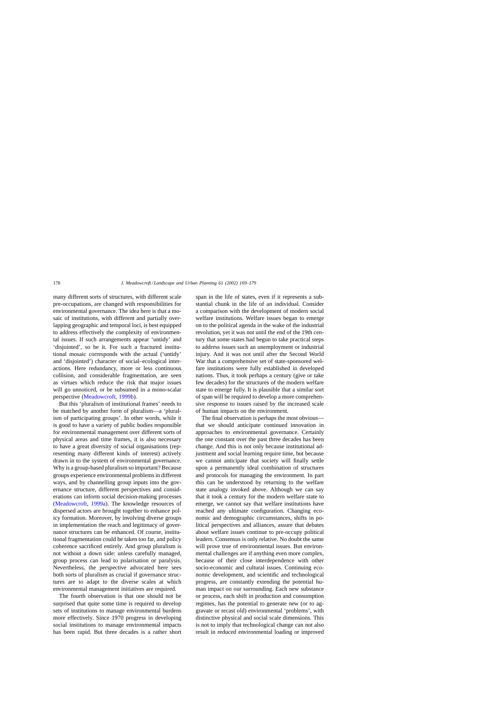many different sorts of structures, with different scale pre-occupations, are changed with responsibilities for environmental governance. The idea here is that a mosaic of institutions, with different and partially overlapping geographic and temporal loci, is best equipped to address effectively the complexity of environmental issues. If such arrangements appear 'untidy' and 'disjointed', so be it. For such a fractured institutional mosaic corresponds with the actual ('untidy' and 'disjointed') character of social–ecological interactions. Here redundancy, more or less continuous collision, and considerable fragmentation, are seen as virtues which reduce the risk that major issues will go unnoticed, or be subsumed in a mono-scalar perspective ([Meadowcroft, 1999b\).](#page-10-0)

But this 'pluralism of institutional frames' needs to be matched by another form of pluralism—a 'pluralism of participating groups'. In other words, while it is good to have a variety of public bodies responsible for environmental management over different sorts of physical areas and time frames, it is also necessary to have a great diversity of social organisations (representing many different kinds of interest) actively drawn in to the system of environmental governance. Why is a group-based pluralism so important? Because groups experience environmental problems in different ways, and by channelling group inputs into the governance structure, different perspectives and considerations can inform social decision-making processes ([Meadowcroft, 1999a\).](#page-10-0) The knowledge resources of dispersed actors are brought together to enhance policy formation. Moreover, by involving diverse groups in implementation the reach and legitimacy of governance structures can be enhanced. Of course, institutional fragmentation could be taken too far, and policy coherence sacrificed entirely. And group pluralism is not without a down side: unless carefully managed, group process can lead to polarisation or paralysis. Nevertheless, the perspective advocated here sees both sorts of pluralism as crucial if governance structures are to adapt to the diverse scales at which environmental management initiatives are required.

The fourth observation is that one should not be surprised that quite some time is required to develop sets of institutions to manage environmental burdens more effectively. Since 1970 progress in developing social institutions to manage environmental impacts has been rapid. But three decades is a rather short span in the life of states, even if it represents a substantial chunk in the life of an individual. Consider a comparison with the development of modern social welfare institutions. Welfare issues began to emerge on to the political agenda in the wake of the industrial revolution, yet it was not until the end of the 19th century that some states had begun to take practical steps to address issues such an unemployment or industrial injury. And it was not until after the Second World War that a comprehensive set of state-sponsored welfare institutions were fully established in developed nations. Thus, it took perhaps a century (give or take few decades) for the structures of the modern welfare state to emerge fully. It is plausible that a similar sort of span will be required to develop a more comprehensive response to issues raised by the increased scale of human impacts on the environment.

The final observation is perhaps the most obvious that we should anticipate continued innovation in approaches to environmental governance. Certainly the one constant over the past three decades has been change. And this is not only because institutional adjustment and social learning require time, but because we cannot anticipate that society will finally settle upon a permanently ideal combination of structures and protocols for managing the environment. In part this can be understood by returning to the welfare state analogy invoked above. Although we can say that it took a century for the modern welfare state to emerge, we cannot say that welfare institutions have reached any ultimate configuration. Changing economic and demographic circumstances, shifts in political perspectives and alliances, assure that debates about welfare issues continue to pre-occupy political leaders. Consensus is only relative. No doubt the same will prove true of environmental issues. But environmental challenges are if anything even more complex, because of their close interdependence with other socio-economic and cultural issues. Continuing economic development, and scientific and technological progress, are constantly extending the potential human impact on our surrounding. Each new substance or process, each shift in production and consumption regimes, has the potential to generate new (or to aggravate or recast old) environmental 'problems', with distinctive physical and social scale dimensions. This is not to imply that technological change can not also result in reduced environmental loading or improved